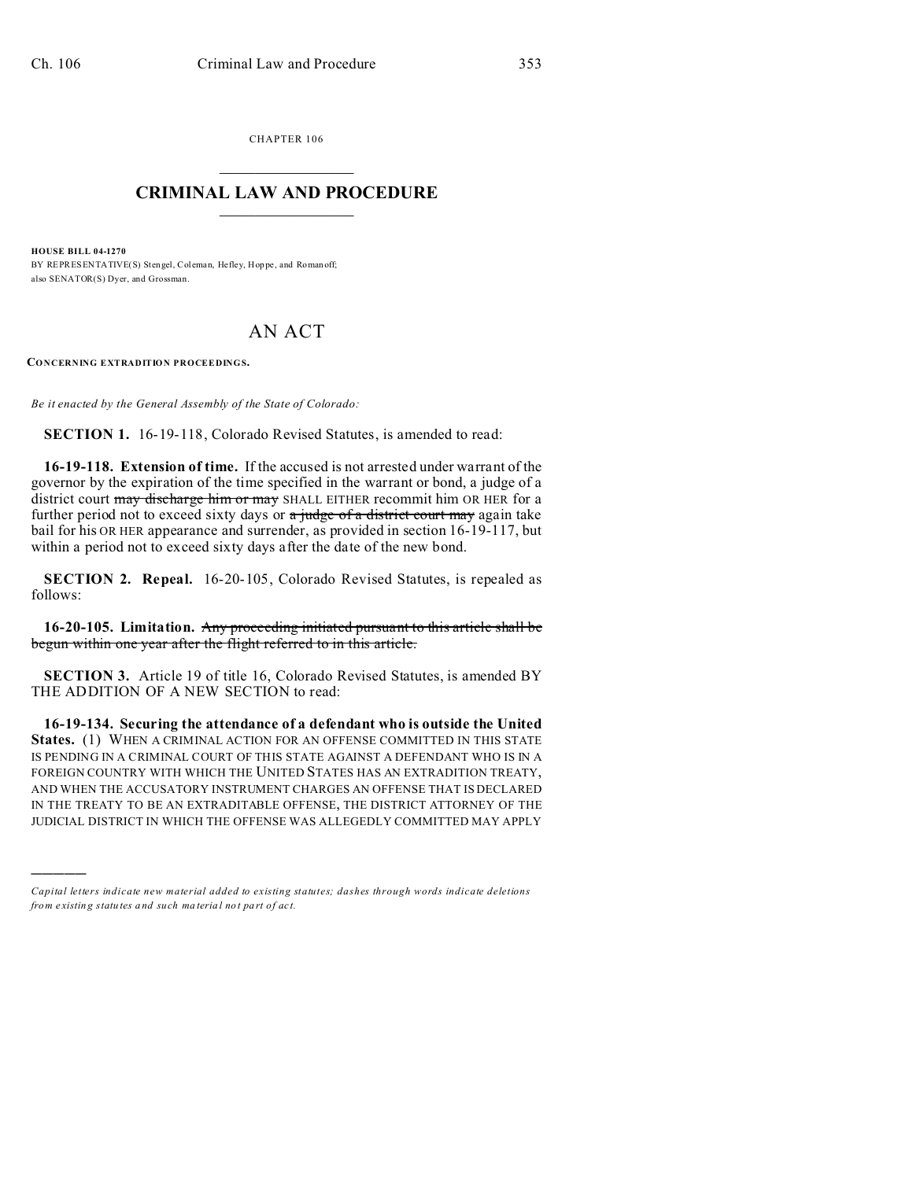CHAPTER 106  $\overline{\phantom{a}}$  , where  $\overline{\phantom{a}}$ 

## **CRIMINAL LAW AND PROCEDURE**  $\_$   $\_$   $\_$   $\_$   $\_$   $\_$   $\_$   $\_$   $\_$

**HOUSE BILL 04-1270**

)))))

BY REPRESENTATIVE(S) Stengel, Coleman, Hefley, Hoppe, and Roman off; also SENATOR(S) Dyer, and Grossman.

## AN ACT

**CONCERNING EXTRADITION PROCEEDINGS.**

*Be it enacted by the General Assembly of the State of Colorado:*

**SECTION 1.** 16-19-118, Colorado Revised Statutes, is amended to read:

**16-19-118. Extension of time.** If the accused is not arrested under warrant of the governor by the expiration of the time specified in the warrant or bond, a judge of a district court may discharge him or may SHALL EITHER recommit him OR HER for a further period not to exceed sixty days or a judge of a district court may again take bail for his OR HER appearance and surrender, as provided in section 16-19-117, but within a period not to exceed sixty days after the date of the new bond.

**SECTION 2. Repeal.** 16-20-105, Colorado Revised Statutes, is repealed as follows:

**16-20-105. Limitation.** Any proceeding initiated pursuant to this article shall be begun within one year after the flight referred to in this article.

**SECTION 3.** Article 19 of title 16, Colorado Revised Statutes, is amended BY THE ADDITION OF A NEW SECTION to read:

**16-19-134. Securing the attendance of a defendant who is outside the United States.** (1) WHEN A CRIMINAL ACTION FOR AN OFFENSE COMMITTED IN THIS STATE IS PENDING IN A CRIMINAL COURT OF THIS STATE AGAINST A DEFENDANT WHO IS IN A FOREIGN COUNTRY WITH WHICH THE UNITED STATES HAS AN EXTRADITION TREATY, AND WHEN THE ACCUSATORY INSTRUMENT CHARGES AN OFFENSE THAT IS DECLARED IN THE TREATY TO BE AN EXTRADITABLE OFFENSE, THE DISTRICT ATTORNEY OF THE JUDICIAL DISTRICT IN WHICH THE OFFENSE WAS ALLEGEDLY COMMITTED MAY APPLY

*Capital letters indicate new material added to existing statutes; dashes through words indicate deletions from e xistin g statu tes a nd such ma teria l no t pa rt of ac t.*